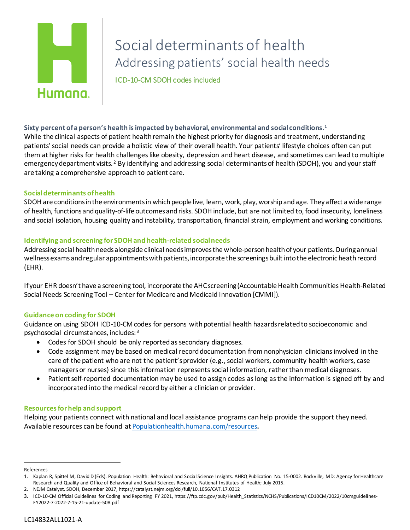# Humana.

# Social determinants of health Addressing patients' social health needs ICD-10-CM SDOH codes included

**Sixty percent of a person's health is impacted by behavioral, environmentaland social conditions.[1](#page-0-0)** While the clinical aspects of patient health remain the highest priority for diagnosis and treatment, understanding patients' social needs can provide a holistic view of their overall health. Your patients' lifestyle choices often can put them at higher risks for health challenges like obesity, depression and heart disease, and sometimes can lead to multiple emergency department visits.<sup>[2](#page-0-1)</sup> By identifying and addressing social determinants of health (SDOH), you and your staff are taking a comprehensive approach to patient care.

## **Social determinants of health**

SDOH are conditions in the environments in which people live, learn, work, play, worship and age. They affect a wide range of health, functions and quality-of-life outcomes and risks. SDOH include, but are not limited to, food insecurity, loneliness and social isolation, housing quality and instability, transportation, financial strain, employment and working conditions.

### **Identifying and screening for SDOHand health-related social needs**

Addressing social health needs alongside clinical needs improves the whole-person healthof your patients. During annual wellness exams and regular appointments with patients, incorporate the screenings built into the electronic heath record (EHR).

If your EHR doesn't have a screening tool, incorporate the AHC screening (Accountable Health Communities Health-Related Social Needs Screening Tool – Center for Medicare and Medicaid Innovation [CMMI]).

### **Guidance on coding for SDOH**

Guidance on using SDOH ICD-10-CM codes for persons with potential health hazards related to socioeconomic and psychosocial circumstances, includes: [3](#page-0-2)

- Codes for SDOH should be only reported as secondary diagnoses.
- Code assignment may be based on medical record documentation from nonphysician clinicians involved in the care of the patient who are not the patient's provider (e.g., social workers, community health workers, case managersor nurses) since this information represents social information, rather than medical diagnoses.
- Patient self-reported documentation may be used to assign codes as long as the information is signed off by and incorporated into the medical record by either a clinician or provider.

### **Resources for help and support**

Helping your patients connect with national and local assistance programs can help provide the support they need. Available resources can be found at [Populationhealth.humana.com/resources](https://populationhealth.humana.com/resources/)**.**

<span id="page-0-0"></span>References

<sup>1.</sup> Kaplan R, Spittel M, David D (Eds). Population Health: Behavioral and Social Science Insights. AHRQ Publication No. 15-0002. Rockville, MD: Agency for Healthcare Research and Quality and Office of Behavioral and Social Sciences Research, National Institutes of Health; July 2015.

<span id="page-0-1"></span><sup>2.</sup> NEJM Catalyst, SDOH, December 2017, https://catalyst.nejm.org/doi/full/10.1056/CAT.17.0312

<span id="page-0-2"></span><sup>3.</sup> ICD-10-CM Official Guidelines for Coding and Reporting FY 2021, https://ftp.cdc.gov/pub/Health\_Statistics/NCHS/Publications/ICD10CM/2022/10cmguidelines-FY2022-7-2022-7-15-21-update-508.pdf